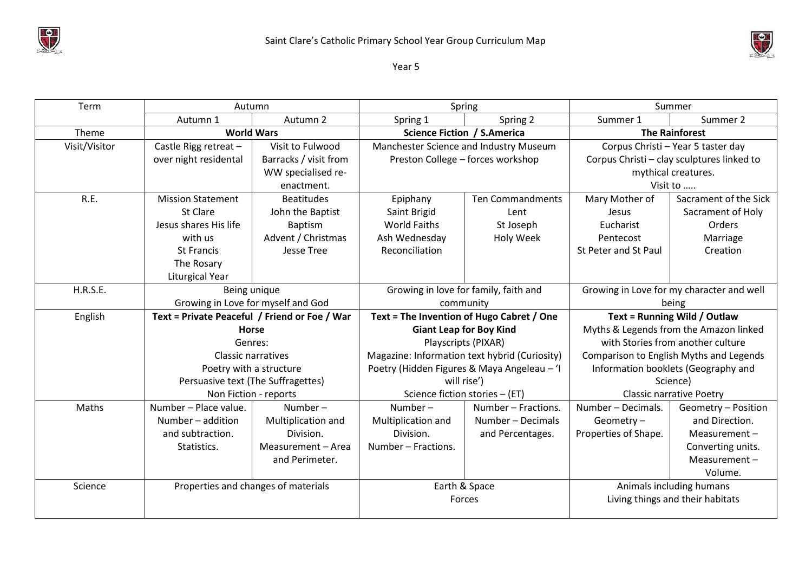



Year 5

| Term            | Autumn                                                        |                       | Spring                                        |                         | Summer                                     |                       |
|-----------------|---------------------------------------------------------------|-----------------------|-----------------------------------------------|-------------------------|--------------------------------------------|-----------------------|
|                 | Autumn 1                                                      | Autumn 2              | Spring 1                                      | Spring 2                | Summer 1                                   | Summer 2              |
| Theme           |                                                               | <b>World Wars</b>     | Science Fiction / S.America                   |                         | <b>The Rainforest</b>                      |                       |
| Visit/Visitor   | Castle Rigg retreat -                                         | Visit to Fulwood      | Manchester Science and Industry Museum        |                         | Corpus Christi - Year 5 taster day         |                       |
|                 | over night residental                                         | Barracks / visit from | Preston College - forces workshop             |                         | Corpus Christi - clay sculptures linked to |                       |
|                 |                                                               | WW specialised re-    |                                               |                         | mythical creatures.                        |                       |
|                 |                                                               | enactment.            |                                               |                         | Visit to                                   |                       |
| R.E.            | <b>Mission Statement</b>                                      | <b>Beatitudes</b>     | Epiphany                                      | <b>Ten Commandments</b> | Mary Mother of                             | Sacrament of the Sick |
|                 | St Clare                                                      | John the Baptist      | Saint Brigid                                  | Lent                    | Jesus                                      | Sacrament of Holy     |
|                 | Jesus shares His life                                         | <b>Baptism</b>        | <b>World Faiths</b>                           | St Joseph               | Eucharist                                  | Orders                |
|                 | with us                                                       | Advent / Christmas    | Ash Wednesday                                 | Holy Week               | Pentecost                                  | Marriage              |
|                 | <b>St Francis</b>                                             | Jesse Tree            | Reconciliation                                |                         | St Peter and St Paul                       | Creation              |
|                 | The Rosary                                                    |                       |                                               |                         |                                            |                       |
|                 | <b>Liturgical Year</b>                                        |                       |                                               |                         |                                            |                       |
| <b>H.R.S.E.</b> | Being unique                                                  |                       | Growing in love for family, faith and         |                         | Growing in Love for my character and well  |                       |
|                 | Growing in Love for myself and God                            |                       | community                                     |                         | being                                      |                       |
| English         | Text = Private Peaceful / Friend or Foe / War<br><b>Horse</b> |                       | Text = The Invention of Hugo Cabret / One     |                         | Text = Running Wild / Outlaw               |                       |
|                 |                                                               |                       | <b>Giant Leap for Boy Kind</b>                |                         | Myths & Legends from the Amazon linked     |                       |
|                 | Genres:<br>Classic narratives                                 |                       | Playscripts (PIXAR)                           |                         | with Stories from another culture          |                       |
|                 |                                                               |                       | Magazine: Information text hybrid (Curiosity) |                         | Comparison to English Myths and Legends    |                       |
|                 | Poetry with a structure                                       |                       | Poetry (Hidden Figures & Maya Angeleau - 'I   |                         | Information booklets (Geography and        |                       |
|                 | Persuasive text (The Suffragettes)                            |                       | will rise')                                   |                         | Science)                                   |                       |
|                 |                                                               | Non Fiction - reports | Science fiction stories - (ET)                |                         | <b>Classic narrative Poetry</b>            |                       |
| Maths           | Number - Place value.                                         | Number-               | Number $-$                                    | Number - Fractions.     | Number - Decimals.                         | Geometry - Position   |
|                 | Number - addition                                             | Multiplication and    | Multiplication and                            | Number - Decimals       | Geometry-                                  | and Direction.        |
|                 | and subtraction.                                              | Division.             | Division.                                     | and Percentages.        | Properties of Shape.                       | Measurement-          |
|                 | Statistics.                                                   | Measurement - Area    | Number - Fractions.                           |                         |                                            | Converting units.     |
|                 |                                                               | and Perimeter.        |                                               |                         |                                            | Measurement-          |
|                 |                                                               |                       |                                               |                         |                                            | Volume.               |
| Science         | Properties and changes of materials                           |                       | Earth & Space                                 |                         | Animals including humans                   |                       |
|                 |                                                               |                       | Forces                                        |                         | Living things and their habitats           |                       |
|                 |                                                               |                       |                                               |                         |                                            |                       |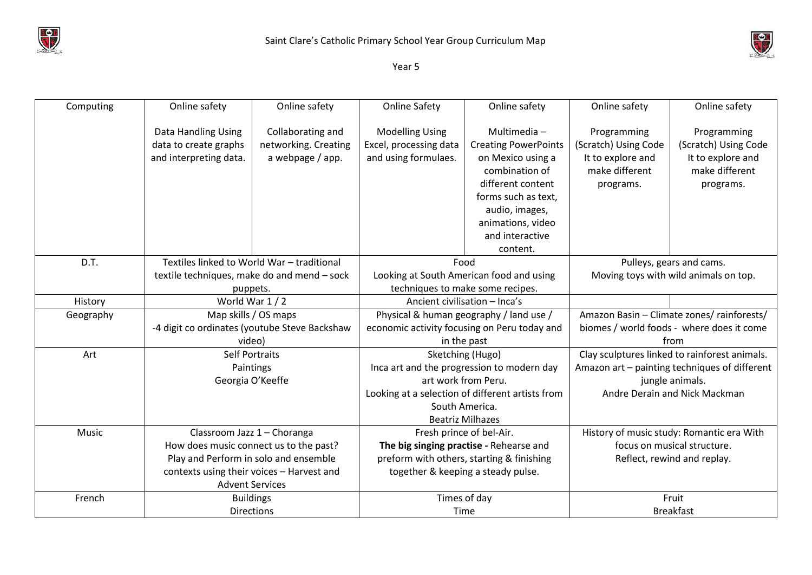



Year 5

| Computing | Online safety                                                                               | Online safety        | <b>Online Safety</b>                                                                          | Online safety               | Online safety                                 | Online safety        |
|-----------|---------------------------------------------------------------------------------------------|----------------------|-----------------------------------------------------------------------------------------------|-----------------------------|-----------------------------------------------|----------------------|
|           |                                                                                             |                      |                                                                                               |                             |                                               |                      |
|           | Data Handling Using                                                                         | Collaborating and    | <b>Modelling Using</b>                                                                        | Multimedia-                 | Programming                                   | Programming          |
|           | data to create graphs                                                                       | networking. Creating | Excel, processing data                                                                        | <b>Creating PowerPoints</b> | (Scratch) Using Code                          | (Scratch) Using Code |
|           | and interpreting data.                                                                      | a webpage / app.     | and using formulaes.                                                                          | on Mexico using a           | It to explore and                             | It to explore and    |
|           |                                                                                             |                      |                                                                                               | combination of              | make different                                | make different       |
|           |                                                                                             |                      |                                                                                               | different content           | programs.                                     | programs.            |
|           |                                                                                             |                      |                                                                                               | forms such as text,         |                                               |                      |
|           |                                                                                             |                      |                                                                                               | audio, images,              |                                               |                      |
|           |                                                                                             |                      |                                                                                               | animations, video           |                                               |                      |
|           |                                                                                             |                      |                                                                                               | and interactive             |                                               |                      |
|           |                                                                                             |                      |                                                                                               | content.                    |                                               |                      |
| D.T.      | Textiles linked to World War - traditional                                                  |                      | Food                                                                                          |                             | Pulleys, gears and cams.                      |                      |
|           | textile techniques, make do and mend - sock<br>techniques to make some recipes.<br>puppets. |                      | Looking at South American food and using                                                      |                             | Moving toys with wild animals on top.         |                      |
|           |                                                                                             |                      |                                                                                               |                             |                                               |                      |
| History   | World War 1 / 2                                                                             |                      | Ancient civilisation - Inca's                                                                 |                             |                                               |                      |
| Geography | Map skills / OS maps                                                                        |                      | Physical & human geography / land use /                                                       |                             | Amazon Basin - Climate zones/ rainforests/    |                      |
|           | -4 digit co ordinates (youtube Steve Backshaw                                               |                      | economic activity focusing on Peru today and                                                  |                             | biomes / world foods - where does it come     |                      |
|           | video)                                                                                      |                      | in the past                                                                                   |                             | from                                          |                      |
| Art       | <b>Self Portraits</b>                                                                       |                      | Sketching (Hugo)                                                                              |                             | Clay sculptures linked to rainforest animals. |                      |
|           | Paintings                                                                                   |                      | Inca art and the progression to modern day                                                    |                             | Amazon art - painting techniques of different |                      |
|           | Georgia O'Keeffe                                                                            |                      | art work from Peru.                                                                           |                             | jungle animals.                               |                      |
|           |                                                                                             |                      | Looking at a selection of different artists from<br>South America.<br><b>Beatriz Milhazes</b> |                             | Andre Derain and Nick Mackman                 |                      |
|           |                                                                                             |                      |                                                                                               |                             |                                               |                      |
|           |                                                                                             |                      |                                                                                               |                             |                                               |                      |
| Music     | Classroom Jazz 1 - Choranga                                                                 |                      | Fresh prince of bel-Air.                                                                      |                             | History of music study: Romantic era With     |                      |
|           | How does music connect us to the past?                                                      |                      | The big singing practise - Rehearse and                                                       |                             | focus on musical structure.                   |                      |
|           | Play and Perform in solo and ensemble                                                       |                      | preform with others, starting & finishing                                                     |                             | Reflect, rewind and replay.                   |                      |
|           | contexts using their voices - Harvest and                                                   |                      | together & keeping a steady pulse.                                                            |                             |                                               |                      |
|           | <b>Advent Services</b>                                                                      |                      |                                                                                               |                             |                                               |                      |
| French    | <b>Buildings</b>                                                                            |                      | Times of day                                                                                  |                             |                                               | Fruit                |
|           | <b>Directions</b>                                                                           |                      |                                                                                               | Time                        |                                               | <b>Breakfast</b>     |